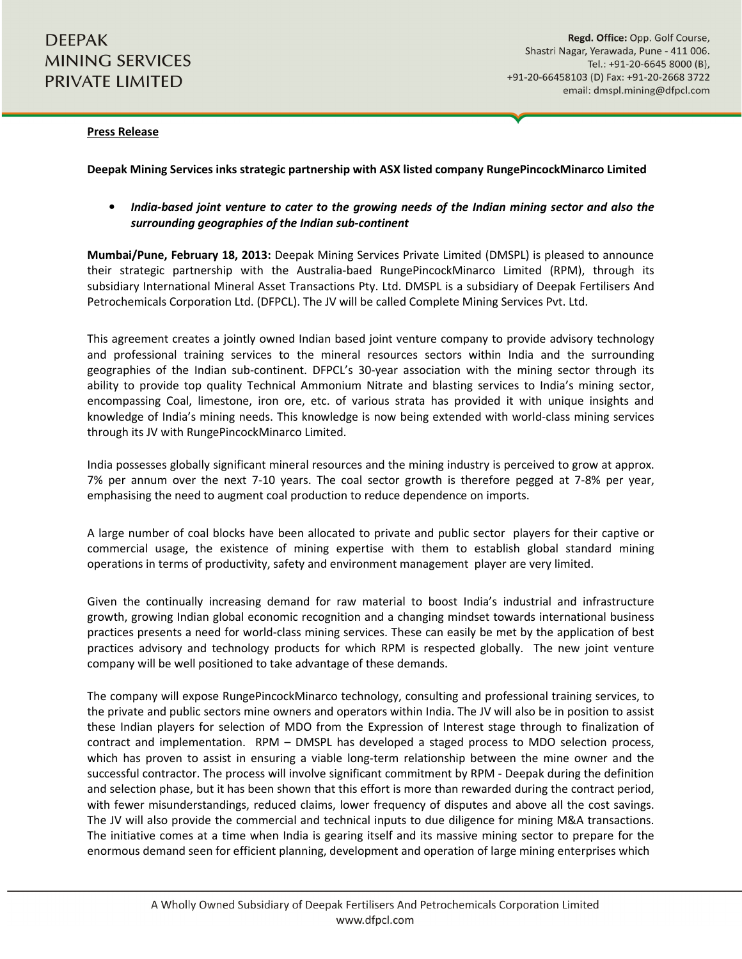## Press Release

Deepak Mining Services inks strategic partnership with ASX listed company RungePincockMinarco Limited

• India-based joint venture to cater to the growing needs of the Indian mining sector and also the surrounding geographies of the Indian sub-continent

Mumbai/Pune, February 18, 2013: Deepak Mining Services Private Limited (DMSPL) is pleased to announce their strategic partnership with the Australia-baed RungePincockMinarco Limited (RPM), through its subsidiary International Mineral Asset Transactions Pty. Ltd. DMSPL is a subsidiary of Deepak Fertilisers And Petrochemicals Corporation Ltd. (DFPCL). The JV will be called Complete Mining Services Pvt. Ltd.

This agreement creates a jointly owned Indian based joint venture company to provide advisory technology and professional training services to the mineral resources sectors within India and the surrounding geographies of the Indian sub-continent. DFPCL's 30-year association with the mining sector through its ability to provide top quality Technical Ammonium Nitrate and blasting services to India's mining sector, encompassing Coal, limestone, iron ore, etc. of various strata has provided it with unique insights and knowledge of India's mining needs. This knowledge is now being extended with world-class mining services through its JV with RungePincockMinarco Limited.

India possesses globally significant mineral resources and the mining industry is perceived to grow at approx. 7% per annum over the next 7-10 years. The coal sector growth is therefore pegged at 7-8% per year, emphasising the need to augment coal production to reduce dependence on imports.

A large number of coal blocks have been allocated to private and public sector players for their captive or commercial usage, the existence of mining expertise with them to establish global standard mining operations in terms of productivity, safety and environment management player are very limited.

Given the continually increasing demand for raw material to boost India's industrial and infrastructure growth, growing Indian global economic recognition and a changing mindset towards international business practices presents a need for world-class mining services. These can easily be met by the application of best practices advisory and technology products for which RPM is respected globally. The new joint venture company will be well positioned to take advantage of these demands.

The company will expose RungePincockMinarco technology, consulting and professional training services, to the private and public sectors mine owners and operators within India. The JV will also be in position to assist these Indian players for selection of MDO from the Expression of Interest stage through to finalization of contract and implementation. RPM – DMSPL has developed a staged process to MDO selection process, which has proven to assist in ensuring a viable long-term relationship between the mine owner and the successful contractor. The process will involve significant commitment by RPM - Deepak during the definition and selection phase, but it has been shown that this effort is more than rewarded during the contract period, with fewer misunderstandings, reduced claims, lower frequency of disputes and above all the cost savings. The JV will also provide the commercial and technical inputs to due diligence for mining M&A transactions. The initiative comes at a time when India is gearing itself and its massive mining sector to prepare for the enormous demand seen for efficient planning, development and operation of large mining enterprises which